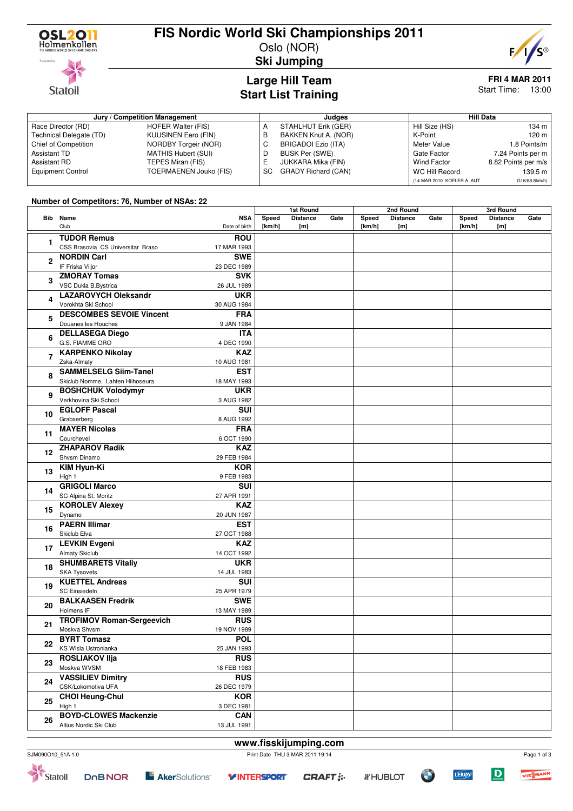

**Statoil** 

### **FIS Nordic World Ski Championships 2011**

Oslo (NOR)



**Ski Jumping**

#### **Large Hill Team Start List Training**

# **FRI 4 MAR 2011**

Start Time: 13:00

| Jury / Competition Management |                        |    | Judaes                     | <b>Hill Data</b>           |                     |  |  |
|-------------------------------|------------------------|----|----------------------------|----------------------------|---------------------|--|--|
| Race Director (RD)            | HOFER Walter (FIS)     |    | STAHLHUT Erik (GER)        | Hill Size (HS)             | 134 m               |  |  |
| Technical Delegate (TD)       | KUUSINEN Eero (FIN)    | В  | BAKKEN Knut A. (NOR)       | K-Point                    | 120 m               |  |  |
| <b>Chief of Competition</b>   | NORDBY Torgeir (NOR)   | C. | BRIGADOI Ezio (ITA)        | Meter Value                | 1.8 Points/m        |  |  |
| Assistant TD                  | MATHIS Hubert (SUI)    | D  | BUSK Per (SWE)             | Gate Factor                | 7.24 Points per m   |  |  |
| Assistant RD                  | TEPES Miran (FIS)      |    | JUKKARA Mika (FIN)         | <b>Wind Factor</b>         | 8.82 Points per m/s |  |  |
| <b>Equipment Control</b>      | TOERMAENEN Jouko (FIS) | SC | <b>GRADY Richard (CAN)</b> | WC Hill Record             | 139.5 m             |  |  |
|                               |                        |    |                            | (14 MAR 2010 KOFLER A. AUT | G16/88.8km/h)       |  |  |

#### **Number of Competitors: 76, Number of NSAs: 22**

|                |                                        |                             | 1st Round       |                        |      | 2nd Round           |                        |      | 3rd Round       |                        |      |
|----------------|----------------------------------------|-----------------------------|-----------------|------------------------|------|---------------------|------------------------|------|-----------------|------------------------|------|
|                | Bib Name<br>Club                       | <b>NSA</b><br>Date of birth | Speed<br>[km/h] | <b>Distance</b><br>[m] | Gate | Speed<br>[ $km/h$ ] | <b>Distance</b><br>[m] | Gate | Speed<br>[km/h] | <b>Distance</b><br>[m] | Gate |
| 1              | <b>TUDOR Remus</b>                     | <b>ROU</b>                  |                 |                        |      |                     |                        |      |                 |                        |      |
|                | CSS Brasovia CS Universitar Braso      | 17 MAR 1993                 |                 |                        |      |                     |                        |      |                 |                        |      |
| $\mathbf{2}$   | <b>NORDIN Carl</b>                     | <b>SWE</b>                  |                 |                        |      |                     |                        |      |                 |                        |      |
|                | IF Friska Viljor                       | 23 DEC 1989                 |                 |                        |      |                     |                        |      |                 |                        |      |
|                | <b>ZMORAY Tomas</b>                    | <b>SVK</b>                  |                 |                        |      |                     |                        |      |                 |                        |      |
| 3              | VSC Dukla B.Bystrica                   | 26 JUL 1989                 |                 |                        |      |                     |                        |      |                 |                        |      |
|                | <b>LAZAROVYCH Oleksandr</b>            | <b>UKR</b>                  |                 |                        |      |                     |                        |      |                 |                        |      |
| 4<br>5         | Vorokhta Ski School                    | 30 AUG 1984                 |                 |                        |      |                     |                        |      |                 |                        |      |
|                | <b>DESCOMBES SEVOIE Vincent</b>        | <b>FRA</b>                  |                 |                        |      |                     |                        |      |                 |                        |      |
|                | Douanes les Houches                    | 9 JAN 1984                  |                 |                        |      |                     |                        |      |                 |                        |      |
| 6              | <b>DELLASEGA Diego</b>                 | <b>ITA</b>                  |                 |                        |      |                     |                        |      |                 |                        |      |
|                | G.S. FIAMME ORO                        | 4 DEC 1990                  |                 |                        |      |                     |                        |      |                 |                        |      |
|                | <b>KARPENKO Nikolay</b>                | <b>KAZ</b>                  |                 |                        |      |                     |                        |      |                 |                        |      |
| 7              | Zska-Almaty                            | 10 AUG 1981                 |                 |                        |      |                     |                        |      |                 |                        |      |
|                | <b>SAMMELSELG Siim-Tanel</b>           | <b>EST</b>                  |                 |                        |      |                     |                        |      |                 |                        |      |
| 8              | Skiclub Nomme, Lahten Hiihoseura       | 18 MAY 1993                 |                 |                        |      |                     |                        |      |                 |                        |      |
|                | <b>BOSHCHUK Volodymyr</b>              | <b>UKR</b>                  |                 |                        |      |                     |                        |      |                 |                        |      |
| 9              | Verkhovina Ski School                  | 3 AUG 1982                  |                 |                        |      |                     |                        |      |                 |                        |      |
|                | <b>EGLOFF Pascal</b>                   | SUI                         |                 |                        |      |                     |                        |      |                 |                        |      |
| 10             | Grabserberg                            | 8 AUG 1992                  |                 |                        |      |                     |                        |      |                 |                        |      |
|                | <b>MAYER Nicolas</b>                   | <b>FRA</b>                  |                 |                        |      |                     |                        |      |                 |                        |      |
| 11             | Courchevel                             | 6 OCT 1990                  |                 |                        |      |                     |                        |      |                 |                        |      |
| 12             | <b>ZHAPAROV Radik</b>                  | <b>KAZ</b>                  |                 |                        |      |                     |                        |      |                 |                        |      |
|                | Shvsm Dinamo                           | 29 FEB 1984                 |                 |                        |      |                     |                        |      |                 |                        |      |
| 13             | <b>KIM Hyun-Ki</b>                     | <b>KOR</b>                  |                 |                        |      |                     |                        |      |                 |                        |      |
|                | High 1                                 | 9 FEB 1983                  |                 |                        |      |                     |                        |      |                 |                        |      |
| 14             | <b>GRIGOLI Marco</b>                   | SUI                         |                 |                        |      |                     |                        |      |                 |                        |      |
|                | SC Alpina St. Moritz                   | 27 APR 1991                 |                 |                        |      |                     |                        |      |                 |                        |      |
| 15             | <b>KOROLEV Alexey</b>                  | <b>KAZ</b>                  |                 |                        |      |                     |                        |      |                 |                        |      |
|                | Dynamo                                 | 20 JUN 1987                 |                 |                        |      |                     |                        |      |                 |                        |      |
| 16             | <b>PAERN Illimar</b>                   | <b>EST</b>                  |                 |                        |      |                     |                        |      |                 |                        |      |
|                | Skiclub Elva                           | 27 OCT 1988                 |                 |                        |      |                     |                        |      |                 |                        |      |
| 17             | <b>LEVKIN Evgeni</b>                   | <b>KAZ</b>                  |                 |                        |      |                     |                        |      |                 |                        |      |
|                | <b>Almaty Skiclub</b>                  | 14 OCT 1992                 |                 |                        |      |                     |                        |      |                 |                        |      |
| 18             | <b>SHUMBARETS Vitaliy</b>              | <b>UKR</b>                  |                 |                        |      |                     |                        |      |                 |                        |      |
|                | <b>SKA Tysovets</b>                    | 14 JUL 1983                 |                 |                        |      |                     |                        |      |                 |                        |      |
| 19             | <b>KUETTEL Andreas</b>                 | <b>SUI</b>                  |                 |                        |      |                     |                        |      |                 |                        |      |
|                | <b>SC Einsiedeln</b>                   | 25 APR 1979                 |                 |                        |      |                     |                        |      |                 |                        |      |
| 20             | <b>BALKAASEN Fredrik</b>               | <b>SWE</b>                  |                 |                        |      |                     |                        |      |                 |                        |      |
|                | Holmens IF                             | 13 MAY 1989                 |                 |                        |      |                     |                        |      |                 |                        |      |
| 21<br>22<br>23 | <b>TROFIMOV Roman-Sergeevich</b>       | <b>RUS</b>                  |                 |                        |      |                     |                        |      |                 |                        |      |
|                | Moskva Shvsm                           | 19 NOV 1989                 |                 |                        |      |                     |                        |      |                 |                        |      |
|                | <b>BYRT Tomasz</b>                     | <b>POL</b>                  |                 |                        |      |                     |                        |      |                 |                        |      |
|                | KS Wisla Ustronianka                   | 25 JAN 1993                 |                 |                        |      |                     |                        |      |                 |                        |      |
|                | <b>ROSLIAKOV IIja</b>                  | <b>RUS</b>                  |                 |                        |      |                     |                        |      |                 |                        |      |
| 24             | Moskva WVSM                            | 18 FEB 1983                 |                 |                        |      |                     |                        |      |                 |                        |      |
|                | <b>VASSILIEV Dimitry</b>               | <b>RUS</b>                  |                 |                        |      |                     |                        |      |                 |                        |      |
|                | CSK/Lokomotiva UFA                     | 26 DEC 1979                 |                 |                        |      |                     |                        |      |                 |                        |      |
| 25             | <b>CHOI Heung-Chul</b>                 | <b>KOR</b>                  |                 |                        |      |                     |                        |      |                 |                        |      |
|                | High 1<br><b>BOYD-CLOWES Mackenzie</b> | 3 DEC 1981                  |                 |                        |      |                     |                        |      |                 |                        |      |
| 26             |                                        | <b>CAN</b>                  |                 |                        |      |                     |                        |      |                 |                        |      |
|                | Altius Nordic Ski Club                 | 13 JUL 1991                 |                 |                        |      |                     |                        |      |                 |                        |      |

#### **www.fisskijumping.com** SJM090O10\_51A 1.0 Print Date THU 3 MAR 2011 19:14

**DOBNOR** Statoil

Page 1 of 3 VIESMANN

 $\overline{D}$ 

**LERØY**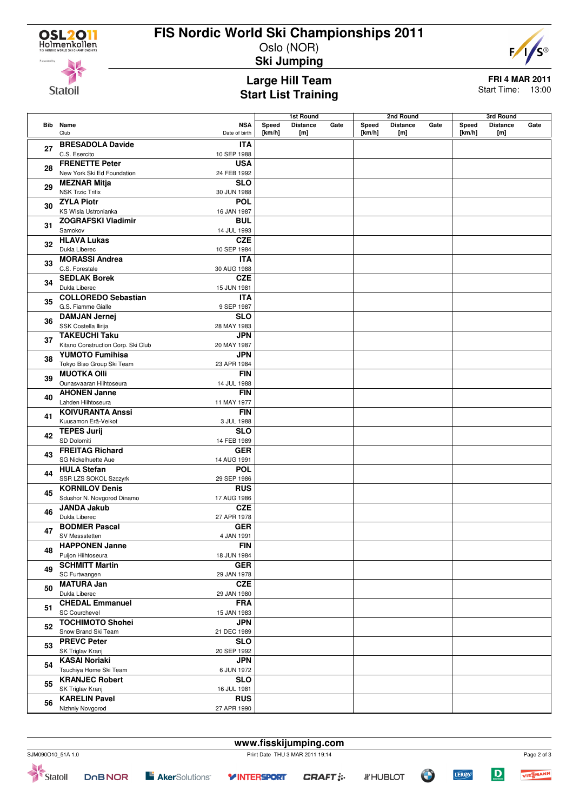

# **FIS Nordic World Ski Championships 2011**

Oslo (NOR) **Ski Jumping**



**Statoil** 

#### **Large Hill Team Start List Training**

# **FRI 4 MAR 2011**

Start Time: 13:00

|    |                                                |                             | <b>1st Round</b> |                        | 2nd Round |                 |                 | 3rd Round |                 |                 |      |
|----|------------------------------------------------|-----------------------------|------------------|------------------------|-----------|-----------------|-----------------|-----------|-----------------|-----------------|------|
|    | <b>Bib</b> Name<br>Club                        | <b>NSA</b><br>Date of birth | Speed<br>[km/h]  | <b>Distance</b><br>[m] | Gate      | Speed<br>[km/h] | <b>Distance</b> | Gate      | Speed<br>[km/h] | <b>Distance</b> | Gate |
|    |                                                |                             |                  |                        |           |                 | [m]             |           |                 | [m]             |      |
| 27 | <b>BRESADOLA Davide</b>                        | <b>ITA</b>                  |                  |                        |           |                 |                 |           |                 |                 |      |
|    | C.S. Esercito                                  | 10 SEP 1988                 |                  |                        |           |                 |                 |           |                 |                 |      |
| 28 | <b>FRENETTE Peter</b>                          | <b>USA</b>                  |                  |                        |           |                 |                 |           |                 |                 |      |
|    | New York Ski Ed Foundation                     | 24 FEB 1992                 |                  |                        |           |                 |                 |           |                 |                 |      |
| 29 | <b>MEZNAR Mitja</b>                            | <b>SLO</b>                  |                  |                        |           |                 |                 |           |                 |                 |      |
|    | <b>NSK Trzic Trifix</b>                        | 30 JUN 1988                 |                  |                        |           |                 |                 |           |                 |                 |      |
| 30 | <b>ZYLA Piotr</b>                              | <b>POL</b>                  |                  |                        |           |                 |                 |           |                 |                 |      |
|    | KS Wisla Ustronianka                           | 16 JAN 1987                 |                  |                        |           |                 |                 |           |                 |                 |      |
| 31 | <b>ZOGRAFSKI Vladimir</b>                      | <b>BUL</b>                  |                  |                        |           |                 |                 |           |                 |                 |      |
|    | Samokov                                        | 14 JUL 1993                 |                  |                        |           |                 |                 |           |                 |                 |      |
| 32 | <b>HLAVA Lukas</b>                             | <b>CZE</b>                  |                  |                        |           |                 |                 |           |                 |                 |      |
|    | Dukla Liberec                                  | 10 SEP 1984                 |                  |                        |           |                 |                 |           |                 |                 |      |
| 33 | <b>MORASSI Andrea</b>                          | <b>ITA</b>                  |                  |                        |           |                 |                 |           |                 |                 |      |
|    | C.S. Forestale                                 | 30 AUG 1988                 |                  |                        |           |                 |                 |           |                 |                 |      |
| 34 | <b>SEDLAK Borek</b>                            | <b>CZE</b>                  |                  |                        |           |                 |                 |           |                 |                 |      |
|    | Dukla Liberec                                  | 15 JUN 1981                 |                  |                        |           |                 |                 |           |                 |                 |      |
| 35 | <b>COLLOREDO Sebastian</b>                     | <b>ITA</b>                  |                  |                        |           |                 |                 |           |                 |                 |      |
|    | G.S. Fiamme Gialle                             | 9 SEP 1987                  |                  |                        |           |                 |                 |           |                 |                 |      |
| 36 | <b>DAMJAN Jernej</b>                           | <b>SLO</b>                  |                  |                        |           |                 |                 |           |                 |                 |      |
|    | SSK Costella Ilirija                           | 28 MAY 1983                 |                  |                        |           |                 |                 |           |                 |                 |      |
| 37 | <b>TAKEUCHI Taku</b>                           | JPN                         |                  |                        |           |                 |                 |           |                 |                 |      |
|    | Kitano Construction Corp. Ski Club             | 20 MAY 1987                 |                  |                        |           |                 |                 |           |                 |                 |      |
| 38 | <b>YUMOTO Fumihisa</b>                         | <b>JPN</b>                  |                  |                        |           |                 |                 |           |                 |                 |      |
|    | Tokyo Biso Group Ski Team                      | 23 APR 1984                 |                  |                        |           |                 |                 |           |                 |                 |      |
| 39 | <b>MUOTKA OIII</b>                             | <b>FIN</b>                  |                  |                        |           |                 |                 |           |                 |                 |      |
|    | Ounasvaaran Hiihtoseura                        | 14 JUL 1988                 |                  |                        |           |                 |                 |           |                 |                 |      |
| 40 | <b>AHONEN Janne</b>                            | <b>FIN</b>                  |                  |                        |           |                 |                 |           |                 |                 |      |
|    | Lahden Hiihtoseura                             | 11 MAY 1977                 |                  |                        |           |                 |                 |           |                 |                 |      |
| 41 | <b>KOIVURANTA Anssi</b>                        | <b>FIN</b>                  |                  |                        |           |                 |                 |           |                 |                 |      |
|    | Kuusamon Erä-Veikot                            | 3 JUL 1988                  |                  |                        |           |                 |                 |           |                 |                 |      |
| 42 | <b>TEPES Jurij</b>                             | <b>SLO</b>                  |                  |                        |           |                 |                 |           |                 |                 |      |
|    | SD Dolomiti                                    | 14 FEB 1989                 |                  |                        |           |                 |                 |           |                 |                 |      |
| 43 | <b>FREITAG Richard</b>                         | <b>GER</b>                  |                  |                        |           |                 |                 |           |                 |                 |      |
|    | SG Nickelhuette Aue                            | 14 AUG 1991                 |                  |                        |           |                 |                 |           |                 |                 |      |
| 44 | <b>HULA Stefan</b>                             | POL                         |                  |                        |           |                 |                 |           |                 |                 |      |
|    | SSR LZS SOKOL Szczyrk                          | 29 SEP 1986                 |                  |                        |           |                 |                 |           |                 |                 |      |
| 45 | <b>KORNILOV Denis</b>                          | <b>RUS</b>                  |                  |                        |           |                 |                 |           |                 |                 |      |
|    | Sdushor N. Novgorod Dinamo                     | 17 AUG 1986                 |                  |                        |           |                 |                 |           |                 |                 |      |
| 46 | <b>JANDA Jakub</b>                             | <b>CZE</b>                  |                  |                        |           |                 |                 |           |                 |                 |      |
|    | Dukla Liberec                                  | 27 APR 1978                 |                  |                        |           |                 |                 |           |                 |                 |      |
| 47 | <b>BODMER Pascal</b>                           | <b>GER</b>                  |                  |                        |           |                 |                 |           |                 |                 |      |
|    | SV Messstetten                                 | 4 JAN 1991                  |                  |                        |           |                 |                 |           |                 |                 |      |
| 48 | <b>HAPPONEN Janne</b>                          | <b>FIN</b>                  |                  |                        |           |                 |                 |           |                 |                 |      |
|    | Puijon Hiihtoseura<br><b>SCHMITT Martin</b>    | 18 JUN 1984                 |                  |                        |           |                 |                 |           |                 |                 |      |
| 49 |                                                | <b>GER</b>                  |                  |                        |           |                 |                 |           |                 |                 |      |
|    | SC Furtwangen                                  | 29 JAN 1978                 |                  |                        |           |                 |                 |           |                 |                 |      |
| 50 | <b>MATURA Jan</b><br>Dukla Liberec             | <b>CZE</b>                  |                  |                        |           |                 |                 |           |                 |                 |      |
|    |                                                | 29 JAN 1980                 |                  |                        |           |                 |                 |           |                 |                 |      |
| 51 | <b>CHEDAL Emmanuel</b><br>SC Courchevel        | <b>FRA</b><br>15 JAN 1983   |                  |                        |           |                 |                 |           |                 |                 |      |
|    |                                                |                             |                  |                        |           |                 |                 |           |                 |                 |      |
| 52 | <b>TOCHIMOTO Shohei</b><br>Snow Brand Ski Team | <b>JPN</b>                  |                  |                        |           |                 |                 |           |                 |                 |      |
|    | <b>PREVC Peter</b>                             | 21 DEC 1989                 |                  |                        |           |                 |                 |           |                 |                 |      |
| 53 |                                                | <b>SLO</b>                  |                  |                        |           |                 |                 |           |                 |                 |      |
|    | SK Triglav Kranj                               | 20 SEP 1992                 |                  |                        |           |                 |                 |           |                 |                 |      |
| 54 | <b>KASAI Noriaki</b>                           | <b>JPN</b>                  |                  |                        |           |                 |                 |           |                 |                 |      |
|    | Tsuchiya Home Ski Team                         | 6 JUN 1972                  |                  |                        |           |                 |                 |           |                 |                 |      |
| 55 | <b>KRANJEC Robert</b>                          | <b>SLO</b>                  |                  |                        |           |                 |                 |           |                 |                 |      |
|    | SK Triglav Kranj<br><b>KARELIN Pavel</b>       | 16 JUL 1981<br><b>RUS</b>   |                  |                        |           |                 |                 |           |                 |                 |      |
| 56 |                                                |                             |                  |                        |           |                 |                 |           |                 |                 |      |
|    | Nizhniy Novgorod                               | 27 APR 1990                 |                  |                        |           |                 |                 |           |                 |                 |      |